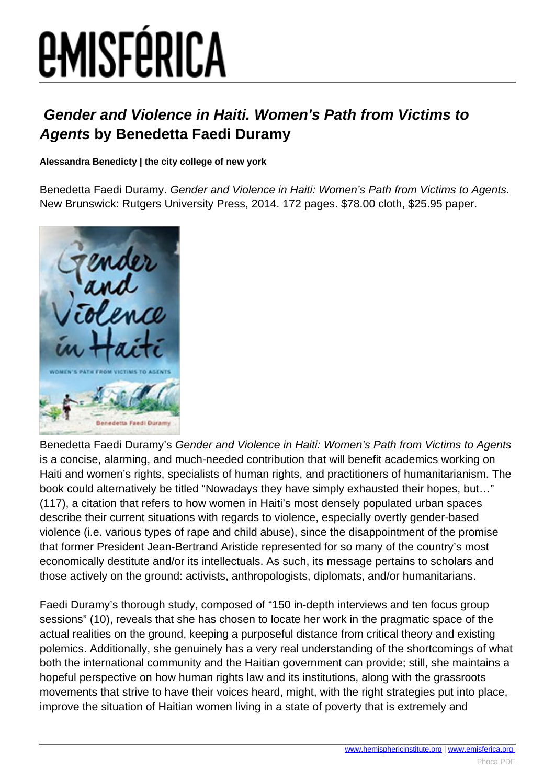# **EMISFÉRICA**

### **Gender and Violence in Haiti. Women's Path from Victims to Agents by Benedetta Faedi Duramy**

#### **Alessandra Benedicty | the city college of new york**

Benedetta Faedi Duramy. Gender and Violence in Haiti: Women's Path from Victims to Agents. New Brunswick: Rutgers University Press, 2014. 172 pages. \$78.00 cloth, \$25.95 paper.



Benedetta Faedi Duramy's Gender and Violence in Haiti: Women's Path from Victims to Agents is a concise, alarming, and much-needed contribution that will benefit academics working on Haiti and women's rights, specialists of human rights, and practitioners of humanitarianism. The book could alternatively be titled "Nowadays they have simply exhausted their hopes, but…" (117), a citation that refers to how women in Haiti's most densely populated urban spaces describe their current situations with regards to violence, especially overtly gender-based violence (i.e. various types of rape and child abuse), since the disappointment of the promise that former President Jean-Bertrand Aristide represented for so many of the country's most economically destitute and/or its intellectuals. As such, its message pertains to scholars and those actively on the ground: activists, anthropologists, diplomats, and/or humanitarians.

Faedi Duramy's thorough study, composed of "150 in-depth interviews and ten focus group sessions" (10), reveals that she has chosen to locate her work in the pragmatic space of the actual realities on the ground, keeping a purposeful distance from critical theory and existing polemics. Additionally, she genuinely has a very real understanding of the shortcomings of what both the international community and the Haitian government can provide; still, she maintains a hopeful perspective on how human rights law and its institutions, along with the grassroots movements that strive to have their voices heard, might, with the right strategies put into place, improve the situation of Haitian women living in a state of poverty that is extremely and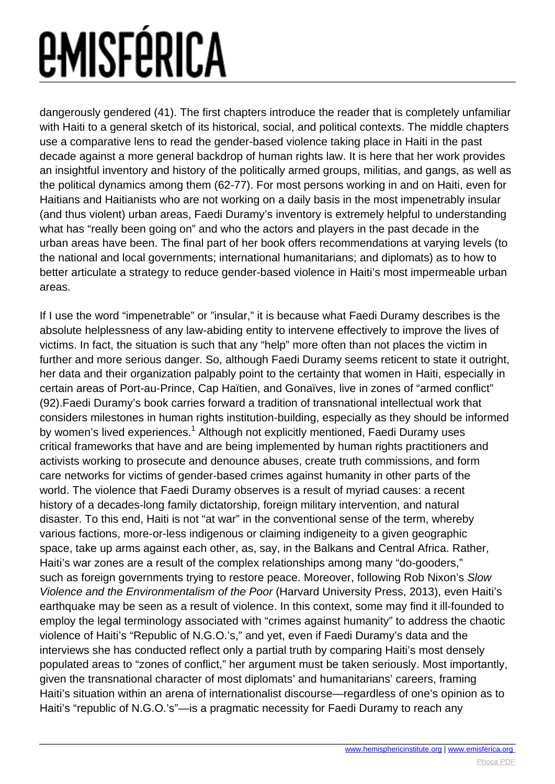## *<u>EMISFÉRICA</u>*

dangerously gendered (41). The first chapters introduce the reader that is completely unfamiliar with Haiti to a general sketch of its historical, social, and political contexts. The middle chapters use a comparative lens to read the gender-based violence taking place in Haiti in the past decade against a more general backdrop of human rights law. It is here that her work provides an insightful inventory and history of the politically armed groups, militias, and gangs, as well as the political dynamics among them (62-77). For most persons working in and on Haiti, even for Haitians and Haitianists who are not working on a daily basis in the most impenetrably insular (and thus violent) urban areas, Faedi Duramy's inventory is extremely helpful to understanding what has "really been going on" and who the actors and players in the past decade in the urban areas have been. The final part of her book offers recommendations at varying levels (to the national and local governments; international humanitarians; and diplomats) as to how to better articulate a strategy to reduce gender-based violence in Haiti's most impermeable urban areas.

If I use the word "impenetrable" or "insular," it is because what Faedi Duramy describes is the absolute helplessness of any law-abiding entity to intervene effectively to improve the lives of victims. In fact, the situation is such that any "help" more often than not places the victim in further and more serious danger. So, although Faedi Duramy seems reticent to state it outright, her data and their organization palpably point to the certainty that women in Haiti, especially in certain areas of Port-au-Prince, Cap Haïtien, and Gonaïves, live in zones of "armed conflict" (92).Faedi Duramy's book carries forward a tradition of transnational intellectual work that considers milestones in human rights institution-building, especially as they should be informed by women's lived experiences.<sup>1</sup> Although not explicitly mentioned, Faedi Duramy uses critical frameworks that have and are being implemented by human rights practitioners and activists working to prosecute and denounce abuses, create truth commissions, and form care networks for victims of gender-based crimes against humanity in other parts of the world. The violence that Faedi Duramy observes is a result of myriad causes: a recent history of a decades-long family dictatorship, foreign military intervention, and natural disaster. To this end, Haiti is not "at war" in the conventional sense of the term, whereby various factions, more-or-less indigenous or claiming indigeneity to a given geographic space, take up arms against each other, as, say, in the Balkans and Central Africa. Rather, Haiti's war zones are a result of the complex relationships among many "do-gooders," such as foreign governments trying to restore peace. Moreover, following Rob Nixon's Slow Violence and the Environmentalism of the Poor (Harvard University Press, 2013), even Haiti's earthquake may be seen as a result of violence. In this context, some may find it ill-founded to employ the legal terminology associated with "crimes against humanity" to address the chaotic violence of Haiti's "Republic of N.G.O.'s," and yet, even if Faedi Duramy's data and the interviews she has conducted reflect only a partial truth by comparing Haiti's most densely populated areas to "zones of conflict," her argument must be taken seriously. Most importantly, given the transnational character of most diplomats' and humanitarians' careers, framing Haiti's situation within an arena of internationalist discourse—regardless of one's opinion as to Haiti's "republic of N.G.O.'s"—is a pragmatic necessity for Faedi Duramy to reach any